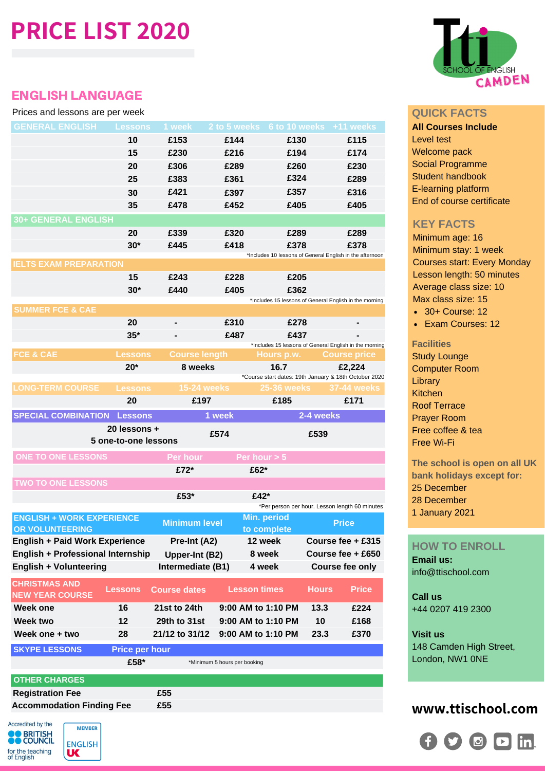# **PRICE LIST 2020**

# ENGLISH LANGUAGE

### Prices and lessons are per week

| <b>GENERAL ENGLISH Lessons</b>                              |                       | 1 week               |                              | 2 to 5 weeks 6 to 10 weeks +11 weeks                                 |              |                        |
|-------------------------------------------------------------|-----------------------|----------------------|------------------------------|----------------------------------------------------------------------|--------------|------------------------|
|                                                             | 10                    | £153                 | £144                         | £130                                                                 |              | £115                   |
|                                                             | 15                    | £230                 | £216                         | £194                                                                 |              | £174                   |
|                                                             | 20                    | £306                 | £289                         | £260                                                                 |              | £230                   |
|                                                             | 25                    | £383                 | £361                         | £324                                                                 |              | £289                   |
|                                                             | 30                    | £421                 | £397                         | £357                                                                 |              | £316                   |
|                                                             | 35                    | £478                 | £452                         | £405                                                                 |              | £405                   |
| <b>30+ GENERAL ENGLISH</b>                                  |                       |                      |                              |                                                                      |              |                        |
|                                                             | 20                    | £339                 | £320                         | £289                                                                 |              | £289                   |
|                                                             | $30*$                 | £445                 | £418                         | £378                                                                 |              | £378                   |
| <b>IELTS EXAM PREPARATION</b>                               |                       |                      |                              | *Includes 10 lessons of General English in the afternoon             |              |                        |
|                                                             | 15                    | £243                 | £228                         | £205                                                                 |              |                        |
|                                                             | $30*$                 | £440                 | £405                         | £362                                                                 |              |                        |
|                                                             |                       |                      |                              | *Includes 15 lessons of General English in the morning               |              |                        |
| <b>SUMMER FCE &amp; CAE</b>                                 |                       |                      |                              |                                                                      |              |                        |
|                                                             | 20                    |                      | £310                         | £278                                                                 |              |                        |
|                                                             | $35*$                 |                      | £487                         | £437                                                                 |              |                        |
| <b>FCE &amp; CAE</b>                                        | <b>Lessons</b>        | <b>Course length</b> |                              | *Includes 15 lessons of General English in the morning<br>Hours p.w. |              | <b>Course price</b>    |
|                                                             | $20*$                 | 8 weeks              |                              | 16.7                                                                 |              | £2,224                 |
|                                                             |                       |                      |                              | *Course start dates: 19th January & 18th October 2020                |              |                        |
| <b>LONG-TERM COURSE</b>                                     | <b>Lessons</b>        | <b>15-24 weeks</b>   |                              | <b>25-36 weeks</b>                                                   |              | 37-44 weeks            |
|                                                             | 20                    | £197                 |                              | £185                                                                 |              | £171                   |
| <b>SPECIAL COMBINATION Lessons</b>                          |                       |                      | 1 week                       |                                                                      | 2-4 weeks    |                        |
|                                                             | 20 lessons +          |                      | £574                         |                                                                      | £539         |                        |
|                                                             | 5 one-to-one lessons  |                      |                              |                                                                      |              |                        |
| <b>ONE TO ONE LESSONS</b>                                   |                       | <b>Per hour</b>      |                              | Per hour $> 5$                                                       |              |                        |
|                                                             |                       | £72*                 |                              | £62*                                                                 |              |                        |
| <b>TWO TO ONE LESSONS</b>                                   |                       |                      |                              |                                                                      |              |                        |
|                                                             |                       | £53*                 |                              | £42*                                                                 |              |                        |
|                                                             |                       |                      |                              | *Per person per hour. Lesson length 60 minutes                       |              |                        |
| <b>ENGLISH + WORK EXPERIENCE</b><br><b>OR VOLUNTEERING</b>  |                       | <b>Minimum level</b> |                              | Min. period<br>to complete                                           |              | <b>Price</b>           |
| <b>English + Paid Work Experience</b>                       |                       | Pre-Int (A2)         |                              | 12 week                                                              |              | Course fee + £315      |
|                                                             |                       |                      |                              |                                                                      |              |                        |
|                                                             |                       |                      |                              |                                                                      |              |                        |
| <b>English + Professional Internship</b>                    |                       | Upper-Int (B2)       |                              | 8 week                                                               |              | Course fee + £650      |
| <b>English + Volunteering</b>                               |                       | Intermediate (B1)    |                              | 4 week                                                               |              | <b>Course fee only</b> |
| <b>CHRISTMAS AND</b>                                        | <b>Lessons</b>        | <b>Course dates</b>  | <b>Lesson times</b>          |                                                                      | <b>Hours</b> | <b>Price</b>           |
| <b>NEW YEAR COURSE</b>                                      |                       |                      |                              |                                                                      |              |                        |
| Week one                                                    | 16                    | 21st to 24th         |                              | 9:00 AM to 1:10 PM                                                   | 13.3         | £224                   |
| Week two                                                    | 12                    | <b>29th to 31st</b>  |                              | 9:00 AM to 1:10 PM                                                   | 10           | £168                   |
| Week one + two                                              | 28                    | 21/12 to 31/12       |                              | 9:00 AM to 1:10 PM                                                   | 23.3         | £370                   |
| <b>SKYPE LESSONS</b>                                        | <b>Price per hour</b> |                      |                              |                                                                      |              |                        |
|                                                             | £58*                  |                      | *Minimum 5 hours per booking |                                                                      |              |                        |
| <b>OTHER CHARGES</b>                                        |                       |                      |                              |                                                                      |              |                        |
| <b>Registration Fee</b><br><b>Accommodation Finding Fee</b> |                       | £55                  |                              |                                                                      |              |                        |



### **QUICK FACTS**

**All Courses Include** Level test Welcome pack Social Programme Student handbook E-learning platform End of course certificate

# **KEY FACTS**

Minimum age: 16 Minimum stay: 1 week Courses start: Every Monday Lesson length: 50 minutes Average class size: 10 Max class size: 15

- 30+ Course: 12
- Exam Courses: 12

### **Facilities**

Study Lounge Computer Room **Library** Kitchen Roof Terrace Prayer Room Free coffee & tea Free Wi-Fi

**The school is open on all UK bank holidays except for:** 25 December 28 December 1 January 2021

# **HOW TO ENROLL**

**Email us:** info@ttischool.com

**Call us** +44 0207 419 2300

# **Visit us**

148 Camden High Street, London, NW1 0NE

# **www.ttischool.com**



Accredited by the **MEMBER BRITISH**<br>COUNCIL **ENGLISH** for the teaching<br>of English **UK**